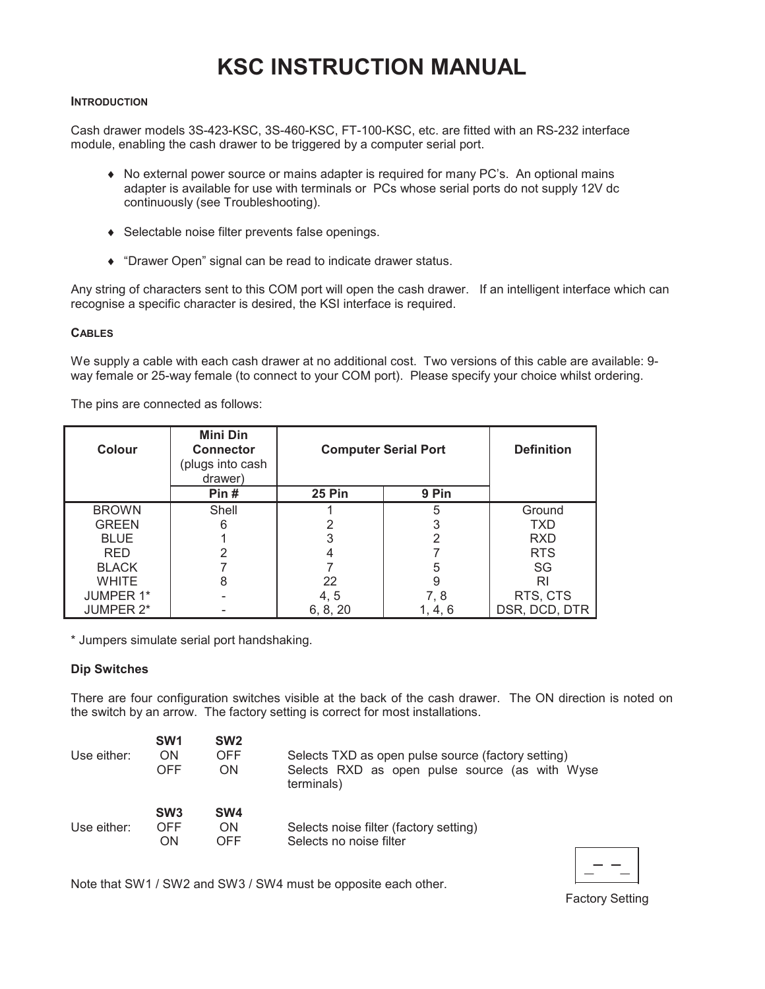# **KSC INSTRUCTION MANUAL**

#### **INTRODUCTION**

Cash drawer models 3S-423-KSC, 3S-460-KSC, FT-100-KSC, etc. are fitted with an RS-232 interface module, enabling the cash drawer to be triggered by a computer serial port.

- No external power source or mains adapter is required for many PC's. An optional mains adapter is available for use with terminals or PCs whose serial ports do not supply 12V dc continuously (see Troubleshooting).
- Selectable noise filter prevents false openings.
- "Drawer Open" signal can be read to indicate drawer status.

Any string of characters sent to this COM port will open the cash drawer. If an intelligent interface which can recognise a specific character is desired, the KSI interface is required.

## **CABLES**

We supply a cable with each cash drawer at no additional cost. Two versions of this cable are available: 9way female or 25-way female (to connect to your COM port). Please specify your choice whilst ordering.

The pins are connected as follows:

| <b>Colour</b>    | <b>Mini Din</b><br><b>Connector</b><br>(plugs into cash<br>drawer) | <b>Computer Serial Port</b> |         | <b>Definition</b> |
|------------------|--------------------------------------------------------------------|-----------------------------|---------|-------------------|
|                  | Pin#                                                               | <b>25 Pin</b>               | 9 Pin   |                   |
| <b>BROWN</b>     | Shell                                                              |                             | 5       | Ground            |
| <b>GREEN</b>     | 6                                                                  |                             | 3       | <b>TXD</b>        |
| <b>BLUE</b>      |                                                                    |                             |         | <b>RXD</b>        |
| <b>RED</b>       | 2                                                                  |                             |         | <b>RTS</b>        |
| <b>BLACK</b>     |                                                                    |                             | 5       | SG                |
| <b>WHITE</b>     | 8                                                                  | 22                          | 9       | RI                |
| <b>JUMPER 1*</b> |                                                                    | 4, 5                        | 7, 8    | RTS, CTS          |
| <b>JUMPER 2*</b> |                                                                    | 6, 8, 20                    | 1, 4, 6 | DSR, DCD, DTR     |

\* Jumpers simulate serial port handshaking.

## **Dip Switches**

There are four configuration switches visible at the back of the cash drawer. The ON direction is noted on the switch by an arrow. The factory setting is correct for most installations.

| Use either: | SW <sub>1</sub>                     | SW <sub>2</sub>  | Selects TXD as open pulse source (factory setting)                |  |
|-------------|-------------------------------------|------------------|-------------------------------------------------------------------|--|
|             | ON                                  | OFF              | Selects RXD as open pulse source (as with Wyse                    |  |
|             | OFF                                 | ON               | terminals)                                                        |  |
| Use either: | SW <sub>3</sub><br><b>OFF</b><br>ΟN | SW4<br>ON<br>OFF | Selects noise filter (factory setting)<br>Selects no noise filter |  |

Note that SW1 / SW2 and SW3 / SW4 must be opposite each other.

**Factory Setting**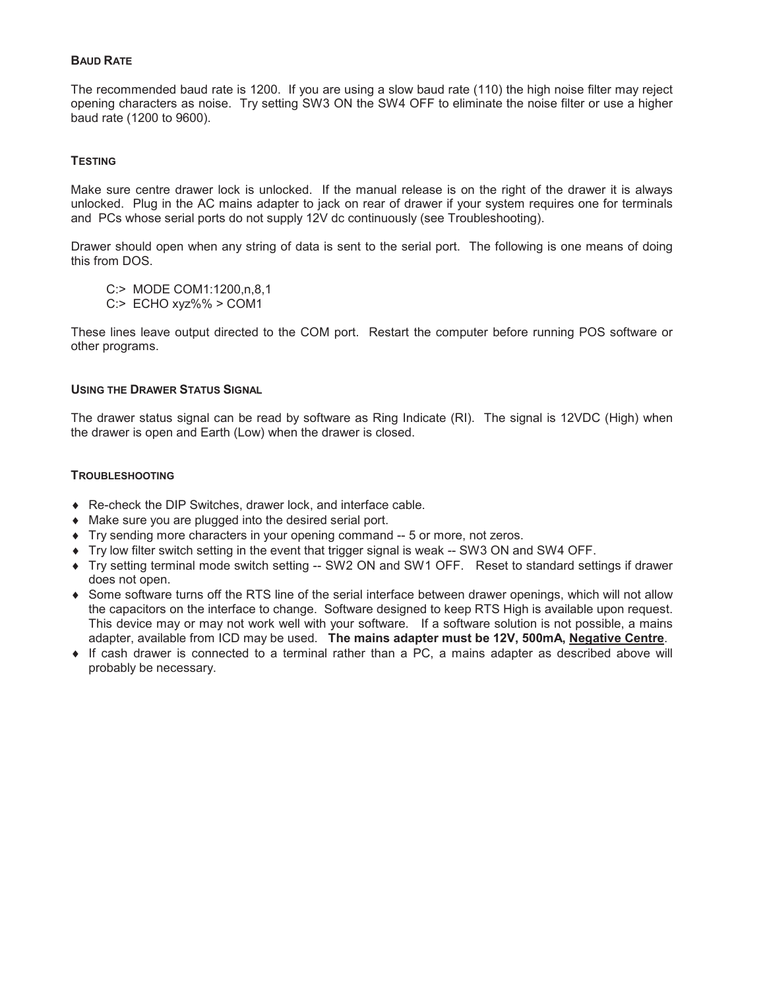# **BAUD RATE**

The recommended baud rate is 1200. If you are using a slow baud rate (110) the high noise filter may reject opening characters as noise. Try setting SW3 ON the SW4 OFF to eliminate the noise filter or use a higher baud rate (1200 to 9600).

# **TESTING**

Make sure centre drawer lock is unlocked. If the manual release is on the right of the drawer it is always unlocked. Plug in the AC mains adapter to jack on rear of drawer if your system requires one for terminals and PCs whose serial ports do not supply 12V dc continuously (see Troubleshooting).

Drawer should open when any string of data is sent to the serial port. The following is one means of doing this from DOS.

C:> MODE COM1:1200,n,8,1

 $C$ :> ECHO xyz%% > COM1

These lines leave output directed to the COM port. Restart the computer before running POS software or other programs.

## **USING THE DRAWER STATUS SIGNAL**

The drawer status signal can be read by software as Ring Indicate (RI). The signal is 12VDC (High) when the drawer is open and Earth (Low) when the drawer is closed.

#### **TROUBLESHOOTING**

- ♦ Re-check the DIP Switches, drawer lock, and interface cable.
- Make sure you are plugged into the desired serial port.
- Try sending more characters in your opening command -- 5 or more, not zeros.
- Try low filter switch setting in the event that trigger signal is weak -- SW3 ON and SW4 OFF.
- Try setting terminal mode switch setting -- SW2 ON and SW1 OFF. Reset to standard settings if drawer does not open.
- Some software turns off the RTS line of the serial interface between drawer openings, which will not allow the capacitors on the interface to change. Software designed to keep RTS High is available upon request. This device may or may not work well with your software. If a software solution is not possible, a mains adapter, available from ICD may be used. The mains adapter must be 12V, 500mA, Negative Centre.
- If cash drawer is connected to a terminal rather than a PC, a mains adapter as described above will probably be necessary.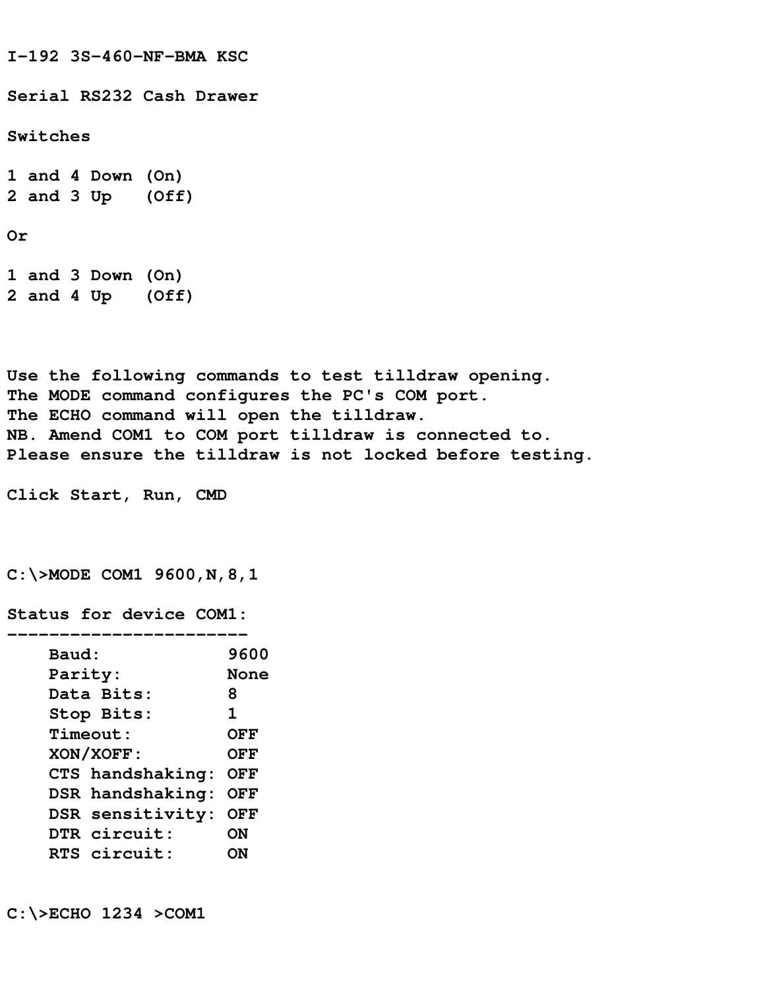**I-192 3S-460-NF-BMA KSC Serial RS232 Cash Drawer Switches 1 and 4 Down (On) 2 and 3 Up (Off) Or 1 and 3 Down (On)**

**Use the following commands to test tilldraw opening. The MODE command configures the PC's COM port. The ECHO command will open the tilldraw. NB. Amend COM1 to COM port tilldraw is connected to. Please ensure the tilldraw is not locked before testing.**

**Click Start, Run, CMD**

**2 and 4 Up (Off)**

**C:\>MODE COM1 9600,N,8,1**

**Status for device COM1:**

| 9600       |
|------------|
| None       |
| 8          |
| 1          |
| OFF        |
| <b>OFF</b> |
| OFF        |
| OFF        |
| <b>OFF</b> |
| ON         |
| DЫ         |
|            |

**C:\>ECHO 1234 >COM1**